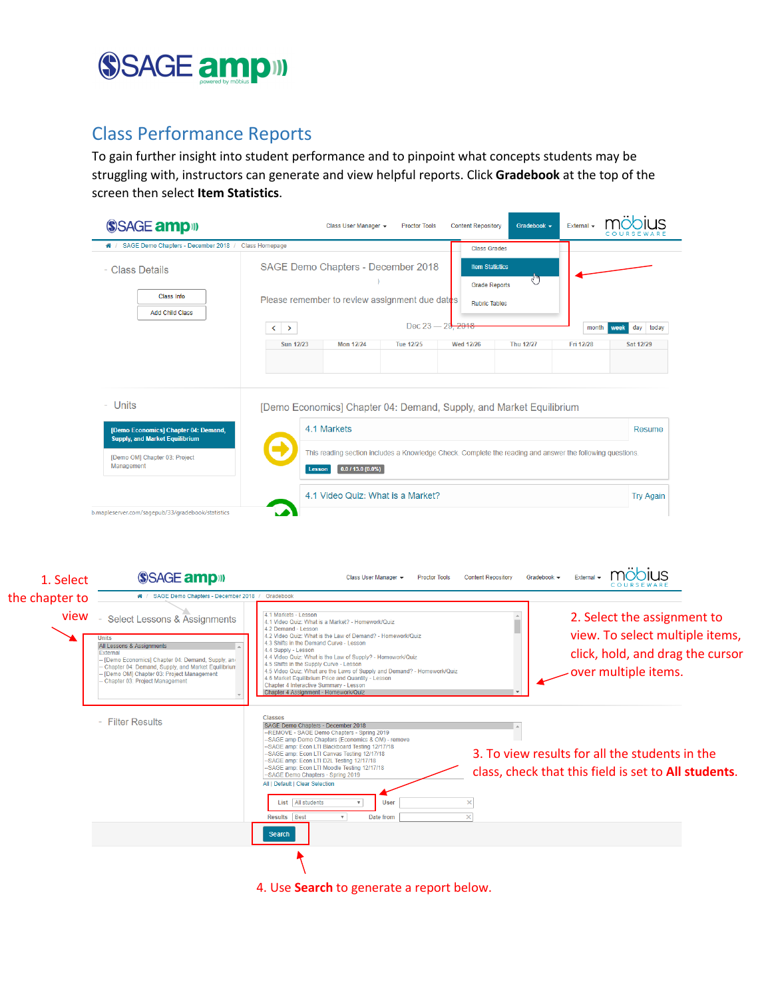

## Class Performance Reports

To gain further insight into student performance and to pinpoint what concepts students may be struggling with, instructors can generate and view helpful reports. Click **Gradebook** at the top of the screen then select **Item Statistics**.

|                        | SSAGE amp <sup>11</sup>                                                                                                                                                                                                                                                                                                     | IUS<br><b>Content Repository</b><br>Gradebook -<br>External -<br>Class User Manager +<br><b>Proctor Tools</b>                                                                                                                                                                                                                                                                                                                                                                                                                                                                                                                       |  |  |  |  |  |  |  |  |
|------------------------|-----------------------------------------------------------------------------------------------------------------------------------------------------------------------------------------------------------------------------------------------------------------------------------------------------------------------------|-------------------------------------------------------------------------------------------------------------------------------------------------------------------------------------------------------------------------------------------------------------------------------------------------------------------------------------------------------------------------------------------------------------------------------------------------------------------------------------------------------------------------------------------------------------------------------------------------------------------------------------|--|--|--|--|--|--|--|--|
|                        | * / SAGE Demo Chapters - December 2018 / Class Homepage<br><b>Class Grades</b>                                                                                                                                                                                                                                              |                                                                                                                                                                                                                                                                                                                                                                                                                                                                                                                                                                                                                                     |  |  |  |  |  |  |  |  |
|                        | - Class Details<br><b>Class Info</b><br><b>Add Child Class</b>                                                                                                                                                                                                                                                              | SAGE Demo Chapters - December 2018<br><b>Item Statistics</b><br>ਹਾ<br><b>Grade Reports</b><br>Please remember to review assignment due dates<br><b>Rubric Tables</b><br>2018<br>Dec $23 - 29$<br>day today<br>month<br>week                                                                                                                                                                                                                                                                                                                                                                                                         |  |  |  |  |  |  |  |  |
|                        |                                                                                                                                                                                                                                                                                                                             | $\langle \ \rangle$<br><b>Sun 12/23</b><br><b>Mon 12/24</b><br><b>Tue 12/25</b><br><b>Wed 12/26</b><br><b>Thu 12/27</b><br>Fri 12/28<br>Sat 12/29                                                                                                                                                                                                                                                                                                                                                                                                                                                                                   |  |  |  |  |  |  |  |  |
|                        | - Units                                                                                                                                                                                                                                                                                                                     | [Demo Economics] Chapter 04: Demand, Supply, and Market Equilibrium                                                                                                                                                                                                                                                                                                                                                                                                                                                                                                                                                                 |  |  |  |  |  |  |  |  |
|                        | [Demo Economics] Chapter 04: Demand,<br><b>Supply, and Market Equilibrium</b>                                                                                                                                                                                                                                               | 4.1 Markets<br>Resume                                                                                                                                                                                                                                                                                                                                                                                                                                                                                                                                                                                                               |  |  |  |  |  |  |  |  |
|                        | [Demo OM] Chapter 03: Project<br>Management                                                                                                                                                                                                                                                                                 | This reading section includes a Knowledge Check. Complete the reading and answer the following questions.<br>$0.0113.0(0.0\%)$<br>Lesson                                                                                                                                                                                                                                                                                                                                                                                                                                                                                            |  |  |  |  |  |  |  |  |
|                        |                                                                                                                                                                                                                                                                                                                             | 4.1 Video Quiz: What is a Market?<br><b>Try Again</b>                                                                                                                                                                                                                                                                                                                                                                                                                                                                                                                                                                               |  |  |  |  |  |  |  |  |
| 1. Select              | SSAGE amp <sup>11</sup><br># / SAGE Demo Chapters - December 2018                                                                                                                                                                                                                                                           | möbius<br>External $\sim$<br><b>Content Repository</b><br>Gradebook -<br>Class User Manager +<br><b>Proctor Tools</b><br>Gradebook                                                                                                                                                                                                                                                                                                                                                                                                                                                                                                  |  |  |  |  |  |  |  |  |
| the chapter to<br>view |                                                                                                                                                                                                                                                                                                                             | 4.1 Markets - Lesson<br>2. Select the assignment to                                                                                                                                                                                                                                                                                                                                                                                                                                                                                                                                                                                 |  |  |  |  |  |  |  |  |
|                        | <b>Select Lessons &amp; Assignments</b><br>$\overline{\phantom{a}}$<br><b>Units</b><br>All Lessons & Assignments<br><b>External</b><br>[Demo Economics] Chapter 04: Demand, Supply, and<br>Chapter 04: Demand, Supply, and Market Equilibriun<br>[Demo OM] Chapter 03: Project Management<br>Chapter 03: Project Management | 4.1 Video Quiz: What is a Market? - Homework/Quiz<br>4.2 Demand - Lesson<br>view. To select multiple items,<br>4.2 Video Quiz: What is the Law of Demand? - Homework/Quiz<br>4.3 Shifts in the Demand Curve - Lesson<br>4.4 Supply - Lesson<br>click, hold, and drag the cursor<br>4.4 Video Quiz: What is the Law of Supply? - Homework/Quiz<br>4.5 Shifts in the Supply Curve - Lesson<br>over multiple items.<br>4.5 Video Quiz: What are the Laws of Supply and Demand? - Homework/Quiz<br>4.6 Market Equilibrium Price and Quantity - Lesson<br>Chapter 4 Interactive Summary - Lesson<br>Chapter 4 Assignment - Homework/Quiz |  |  |  |  |  |  |  |  |
|                        | - Filter Results                                                                                                                                                                                                                                                                                                            | <b>Classes</b><br>SAGE Demo Chapters - December 2018<br>-- REMOVE - SAGE Demo Chapters - Spring 2019<br>-SAGE amp Demo Chapters (Economics & OM) - remove<br>-SAGE amp: Econ LTI Blackboard Testing 12/17/18<br>3. To view results for all the students in the<br>-SAGE amp: Econ LTI Canvas Testing 12/17/18<br>-SAGE amp: Econ LTI D2L Testing 12/17/18<br>-SAGE amp: Econ LTI Moodle Testing 12/17/18<br>class, check that this field is set to All students.<br>-SAGE Demo Chapters - Spring 2019<br>All   Default   Clear Selection<br>List   All students<br><b>User</b><br>$\overline{\mathbf{v}}$<br>×                      |  |  |  |  |  |  |  |  |
|                        |                                                                                                                                                                                                                                                                                                                             | $\times$<br>Results Best<br>$\boldsymbol{\mathrm{v}}$<br>Date from<br><b>Search</b>                                                                                                                                                                                                                                                                                                                                                                                                                                                                                                                                                 |  |  |  |  |  |  |  |  |

4. Use **Search** to generate a report below.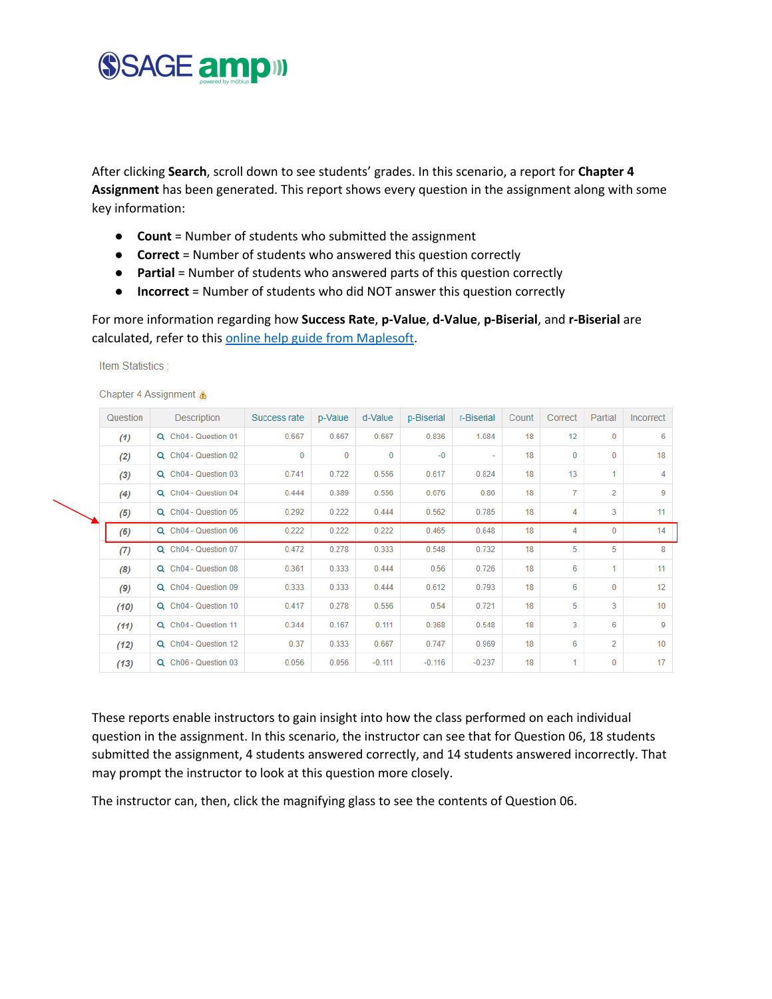## SSAGE amp

Item Statistics:

After clicking **Search**, scroll down to see students' grades. In this scenario, a report for **Chapter 4 Assignment** has been generated. This report shows every question in the assignment along with some key information:

- **Count** = Number of students who submitted the assignment
- **Correct** = Number of students who answered this question correctly
- **Partial** = Number of students who answered parts of this question correctly
- **Incorrect** = Number of students who did NOT answer this question correctly

For more information regarding how **Success Rate**, **p-Value**, **d-Value**, **p-Biserial**, and **r-Biserial** are calculated, refer to this online help guide from Maplesoft.

| Question | Description          | Success rate | p-Value  | d-Value  | p-Biserial | r-Biserial | Count | Correct         | Partial        | Incorrect |
|----------|----------------------|--------------|----------|----------|------------|------------|-------|-----------------|----------------|-----------|
| (1)      | Q Ch04 - Question 01 | 0.667        | 0.667    | 0.667    | 0.836      | 1.084      | 18    | 12 <sup>°</sup> | $\bf{0}$       | 6         |
| (2)      | Q Ch04 - Question 02 | $\Omega$     | $\bf{0}$ | 0        | $-0$       | ٠          | 18    | $\Omega$        | 0              | 18        |
| (3)      | Q Ch04 - Question 03 | 0.741        | 0.722    | 0.556    | 0.617      | 0.824      | 18    | 13              | 1              | 4         |
| (4)      | Q Ch04 - Question 04 | 0.444        | 0.389    | 0.556    | 0.676      | 0.86       | 18    | $\overline{7}$  | 2              | 9         |
| (5)      | Q Ch04 - Question 05 | 0.292        | 0.222    | 0.444    | 0.562      | 0.785      | 18    | 4               | 3              | 11        |
| (6)      | Q Ch04 - Question 06 | 0.222        | 0.222    | 0.222    | 0.465      | 0.648      | 18    | 4               | $\bf{0}$       | 14        |
| (7)      | Q Ch04 - Question 07 | 0.472        | 0.278    | 0.333    | 0.548      | 0.732      | 18    | 5               | 5              | 8         |
| (8)      | Q Ch04 - Question 08 | 0.361        | 0.333    | 0.444    | 0.56       | 0.726      | 18    | 6               | 1.             | 11        |
| (9)      | Q Ch04 - Question 09 | 0.333        | 0.333    | 0.444    | 0.612      | 0.793      | 18    | 6               | $\mathbf{0}$   | 12        |
| (10)     | Q Ch04 - Question 10 | 0.417        | 0.278    | 0.556    | 0.54       | 0.721      | 18    | 5               | 3              | 10        |
| (11)     | Q Ch04 - Question 11 | 0.344        | 0.167    | 0.111    | 0.368      | 0.548      | 18    | 3               | 6              | 9         |
| (12)     | Q Ch04 - Question 12 | 0.37         | 0.333    | 0.667    | 0.747      | 0.969      | 18    | 6               | $\overline{2}$ | 10        |
| (13)     | Q Ch06 - Question 03 | 0.056        | 0.056    | $-0.111$ | $-0.116$   | $-0.237$   | 18    | 1               | 0              | 17        |

These reports enable instructors to gain insight into how the class performed on each individual question in the assignment. In this scenario, the instructor can see that for Question 06, 18 students submitted the assignment, 4 students answered correctly, and 14 students answered incorrectly. That may prompt the instructor to look at this question more closely.

The instructor can, then, click the magnifying glass to see the contents of Question 06.